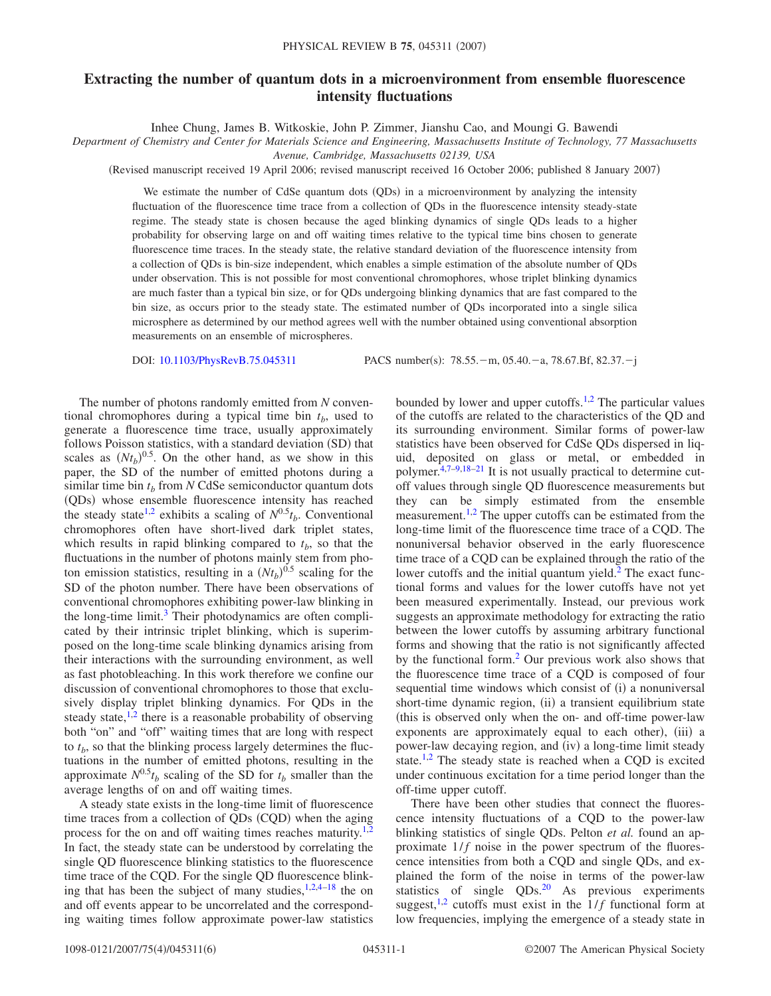## **Extracting the number of quantum dots in a microenvironment from ensemble fluorescence intensity fluctuations**

Inhee Chung, James B. Witkoskie, John P. Zimmer, Jianshu Cao, and Moungi G. Bawendi

*Department of Chemistry and Center for Materials Science and Engineering, Massachusetts Institute of Technology, 77 Massachusetts*

*Avenue, Cambridge, Massachusetts 02139, USA*

Revised manuscript received 19 April 2006; revised manuscript received 16 October 2006; published 8 January 2007-

We estimate the number of CdSe quantum dots (QDs) in a microenvironment by analyzing the intensity fluctuation of the fluorescence time trace from a collection of QDs in the fluorescence intensity steady-state regime. The steady state is chosen because the aged blinking dynamics of single QDs leads to a higher probability for observing large on and off waiting times relative to the typical time bins chosen to generate fluorescence time traces. In the steady state, the relative standard deviation of the fluorescence intensity from a collection of QDs is bin-size independent, which enables a simple estimation of the absolute number of QDs under observation. This is not possible for most conventional chromophores, whose triplet blinking dynamics are much faster than a typical bin size, or for QDs undergoing blinking dynamics that are fast compared to the bin size, as occurs prior to the steady state. The estimated number of QDs incorporated into a single silica microsphere as determined by our method agrees well with the number obtained using conventional absorption measurements on an ensemble of microspheres.

DOI: [10.1103/PhysRevB.75.045311](http://dx.doi.org/10.1103/PhysRevB.75.045311)

PACS number(s):  $78.55.-m$ ,  $05.40.-a$ ,  $78.67.Bf$ ,  $82.37.-j$ 

The number of photons randomly emitted from *N* conventional chromophores during a typical time bin  $t<sub>b</sub>$ , used to generate a fluorescence time trace, usually approximately follows Poisson statistics, with a standard deviation (SD) that scales as  $(Nt_b)^{0.5}$ . On the other hand, as we show in this paper, the SD of the number of emitted photons during a similar time bin  $t<sub>b</sub>$  from *N* CdSe semiconductor quantum dots (QDs) whose ensemble fluorescence intensity has reached the steady state<sup>1,[2](#page-4-1)</sup> exhibits a scaling of  $N^{0.5}t_b$ . Conventional chromophores often have short-lived dark triplet states, which results in rapid blinking compared to  $t<sub>b</sub>$ , so that the fluctuations in the number of photons mainly stem from photon emission statistics, resulting in a  $(Nt_b)^{0.5}$  scaling for the SD of the photon number. There have been observations of conventional chromophores exhibiting power-law blinking in the long-time limit.<sup>3</sup> Their photodynamics are often complicated by their intrinsic triplet blinking, which is superimposed on the long-time scale blinking dynamics arising from their interactions with the surrounding environment, as well as fast photobleaching. In this work therefore we confine our discussion of conventional chromophores to those that exclusively display triplet blinking dynamics. For QDs in the steady state, $1,2$  $1,2$  there is a reasonable probability of observing both "on" and "off" waiting times that are long with respect to  $t<sub>b</sub>$ , so that the blinking process largely determines the fluctuations in the number of emitted photons, resulting in the approximate  $N^{0.5}t_b$  scaling of the SD for  $t_b$  smaller than the average lengths of on and off waiting times.

A steady state exists in the long-time limit of fluorescence time traces from a collection of QDs (CQD) when the aging process for the on and off waiting times reaches maturity.<sup>1[,2](#page-4-1)</sup> In fact, the steady state can be understood by correlating the single QD fluorescence blinking statistics to the fluorescence time trace of the CQD. For the single QD fluorescence blinking that has been the subject of many studies, $1,2,4-18$  $1,2,4-18$  $1,2,4-18$  $1,2,4-18$  the on and off events appear to be uncorrelated and the corresponding waiting times follow approximate power-law statistics bounded by lower and upper cutoffs.<sup>1,[2](#page-4-1)</sup> The particular values of the cutoffs are related to the characteristics of the QD and its surrounding environment. Similar forms of power-law statistics have been observed for CdSe QDs dispersed in liquid, deposited on glass or metal, or embedded in polymer[.4](#page-4-3)[,7](#page-4-5)[–9](#page-4-6)[,18](#page-4-4)[–21](#page-4-7) It is not usually practical to determine cutoff values through single QD fluorescence measurements but they can be simply estimated from the ensemble measurement.<sup>1[,2](#page-4-1)</sup> The upper cutoffs can be estimated from the long-time limit of the fluorescence time trace of a CQD. The nonuniversal behavior observed in the early fluorescence time trace of a CQD can be explained through the ratio of the lower cutoffs and the initial quantum yield. $<sup>2</sup>$  The exact func-</sup> tional forms and values for the lower cutoffs have not yet been measured experimentally. Instead, our previous work suggests an approximate methodology for extracting the ratio between the lower cutoffs by assuming arbitrary functional forms and showing that the ratio is not significantly affected by the functional form[.2](#page-4-1) Our previous work also shows that the fluorescence time trace of a CQD is composed of four sequential time windows which consist of (i) a nonuniversal short-time dynamic region, (ii) a transient equilibrium state this is observed only when the on- and off-time power-law exponents are approximately equal to each other), (iii) a power-law decaying region, and (iv) a long-time limit steady state.<sup>1,[2](#page-4-1)</sup> The steady state is reached when a CQD is excited under continuous excitation for a time period longer than the off-time upper cutoff.

There have been other studies that connect the fluorescence intensity fluctuations of a CQD to the power-law blinking statistics of single QDs. Pelton *et al.* found an approximate  $1/f$  noise in the power spectrum of the fluorescence intensities from both a CQD and single QDs, and explained the form of the noise in terms of the power-law statistics of single  $QDs<sup>20</sup>$  As previous experiments suggest,<sup>1[,2](#page-4-1)</sup> cutoffs must exist in the  $1/f$  functional form at low frequencies, implying the emergence of a steady state in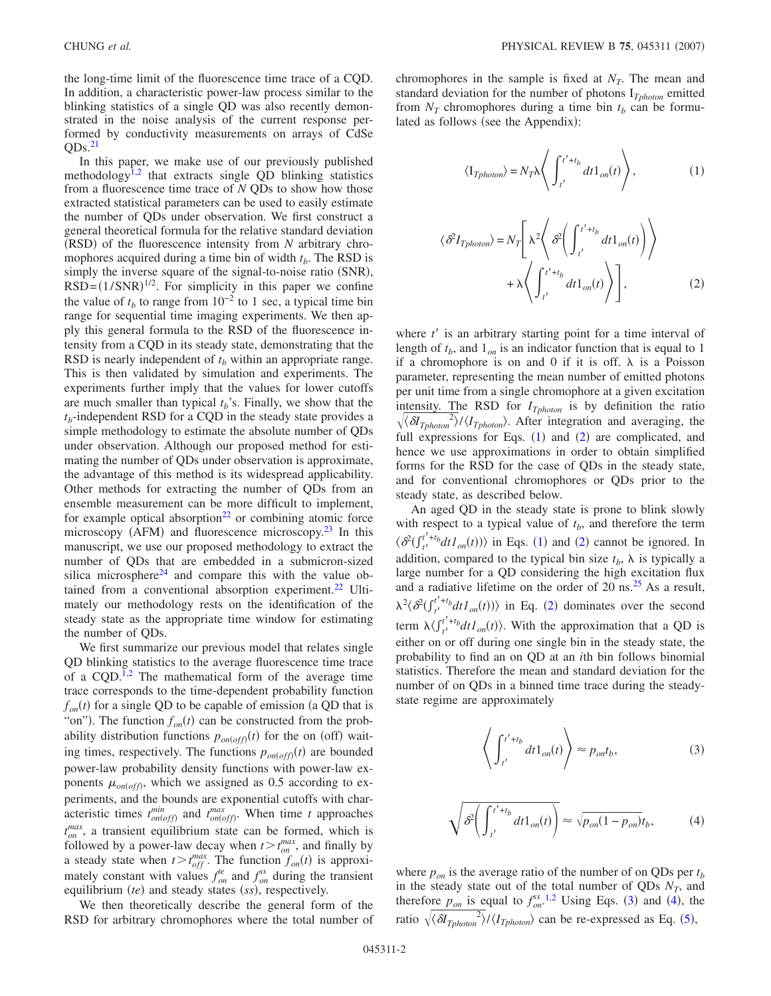the long-time limit of the fluorescence time trace of a CQD. In addition, a characteristic power-law process similar to the blinking statistics of a single QD was also recently demonstrated in the noise analysis of the current response performed by conductivity measurements on arrays of CdSe  $ODs.<sup>21</sup>$ 

In this paper, we make use of our previously published methodology<sup>1[,2](#page-4-1)</sup> that extracts single QD blinking statistics from a fluorescence time trace of *N* QDs to show how those extracted statistical parameters can be used to easily estimate the number of QDs under observation. We first construct a general theoretical formula for the relative standard deviation (RSD) of the fluorescence intensity from *N* arbitrary chromophores acquired during a time bin of width  $t<sub>b</sub>$ . The RSD is simply the inverse square of the signal-to-noise ratio (SNR),  $RSD = (1/SNR)^{1/2}$ . For simplicity in this paper we confine the value of  $t<sub>b</sub>$  to range from 10<sup>-2</sup> to 1 sec, a typical time bin range for sequential time imaging experiments. We then apply this general formula to the RSD of the fluorescence intensity from a CQD in its steady state, demonstrating that the RSD is nearly independent of  $t<sub>b</sub>$  within an appropriate range. This is then validated by simulation and experiments. The experiments further imply that the values for lower cutoffs are much smaller than typical  $t_b$ 's. Finally, we show that the  $t_b$ -independent RSD for a CQD in the steady state provides a simple methodology to estimate the absolute number of QDs under observation. Although our proposed method for estimating the number of QDs under observation is approximate, the advantage of this method is its widespread applicability. Other methods for extracting the number of QDs from an ensemble measurement can be more difficult to implement, for example optical absorption $^{22}$  or combining atomic force microscopy (AFM) and fluorescence microscopy.<sup>23</sup> In this manuscript, we use our proposed methodology to extract the number of QDs that are embedded in a submicron-sized silica microsphere<sup>24</sup> and compare this with the value obtained from a conventional absorption experiment.<sup>22</sup> Ultimately our methodology rests on the identification of the steady state as the appropriate time window for estimating the number of QDs.

We first summarize our previous model that relates single QD blinking statistics to the average fluorescence time trace of a CQD.<sup>1[,2](#page-4-1)</sup> The mathematical form of the average time trace corresponds to the time-dependent probability function  $f_{on}(t)$  for a single QD to be capable of emission (a QD that is "on"). The function  $f_{on}(t)$  can be constructed from the probability distribution functions  $p_{on(off)}(t)$  for the on (off) waiting times, respectively. The functions  $p_{on(off)}(t)$  are bounded power-law probability density functions with power-law exponents  $\mu_{on(off)}$ , which we assigned as 0.5 according to experiments, and the bounds are exponential cutoffs with characteristic times  $t_{on(off)}^{min}$  and  $t_{on(off)}^{max}$ . When time *t* approaches  $t_{on}^{max}$ , a transient equilibrium state can be formed, which is followed by a power-law decay when  $t > t_{on}^{max}$ , and finally by a steady state when  $t > t_{off}^{max}$ . The function  $f_{on}(t)$  is approximately constant with values  $f_{on}^{te}$  and  $f_{on}^{ss}$  during the transient equilibrium *(te)* and steady states *(ss)*, respectively.

We then theoretically describe the general form of the RSD for arbitrary chromophores where the total number of <span id="page-1-0"></span>chromophores in the sample is fixed at  $N_T$ . The mean and standard deviation for the number of photons I*Tphoton* emitted from  $N_T$  chromophores during a time bin  $t_b$  can be formulated as follows (see the Appendix):

$$
\langle \mathcal{I}_{\text{Thoton}} \rangle = N_T \lambda \left\langle \int_{t'}^{t' + t_b} dt \mathcal{1}_{\text{on}}(t) \right\rangle, \tag{1}
$$

<span id="page-1-1"></span>
$$
\langle \delta^2 I_{\text{Tphoton}} \rangle = N_T \Bigg[ \lambda^2 \Bigg\langle \delta^2 \Bigg( \int_{t'}^{t' + t_b} dt \mathbf{1}_{\text{on}}(t) \Bigg) \Bigg\rangle + \lambda \Bigg\langle \int_{t'}^{t' + t_b} dt \mathbf{1}_{\text{on}}(t) \Bigg\rangle \Bigg], \tag{2}
$$

where *t'* is an arbitrary starting point for a time interval of length of  $t_b$ , and  $1_{on}$  is an indicator function that is equal to 1 if a chromophore is on and 0 if it is off.  $\lambda$  is a Poisson parameter, representing the mean number of emitted photons per unit time from a single chromophore at a given excitation intensity. The RSD for  $I_{\text{Thoton}}$  is by definition the ratio  $\sqrt{\langle \delta T_{\text{photon}}^2 \rangle / \langle I_{\text{photon}} \rangle}$ . After integration and averaging, the full expressions for Eqs.  $(1)$  $(1)$  $(1)$  and  $(2)$  $(2)$  $(2)$  are complicated, and hence we use approximations in order to obtain simplified forms for the RSD for the case of QDs in the steady state, and for conventional chromophores or QDs prior to the steady state, as described below.

An aged QD in the steady state is prone to blink slowly with respect to a typical value of  $t<sub>b</sub>$ , and therefore the term  $\langle \mathcal{S}( \int_{t'}^{t'+t_b} dt I_{on}(t) ) \rangle$  in Eqs. ([1](#page-1-0)) and ([2](#page-1-1)) cannot be ignored. In addition, compared to the typical bin size  $t_b$ ,  $\lambda$  is typically a large number for a QD considering the high excitation flux and a radiative lifetime on the order of 20 ns. $25$  As a result,  $\lambda^2 \langle \mathcal{S}^2(f'_{t'}^{t'+t} dt I_{on}(t)) \rangle$  $\lambda^2 \langle \mathcal{S}^2(f'_{t'}^{t'+t} dt I_{on}(t)) \rangle$  $\lambda^2 \langle \mathcal{S}^2(f'_{t'}^{t'+t} dt I_{on}(t)) \rangle$  in Eq. (2) dominates over the second term  $\lambda \langle \int_{t'}^{t'+t_b} dt I_{on}(t) \rangle$ . With the approximation that a QD is either on or off during one single bin in the steady state, the probability to find an on QD at an *i*th bin follows binomial statistics. Therefore the mean and standard deviation for the number of on QDs in a binned time trace during the steadystate regime are approximately

$$
\left\langle \int_{t'}^{t'+t_b} dt 1_{on}(t) \right\rangle \approx p_{on}t_b,
$$
\n(3)

<span id="page-1-3"></span><span id="page-1-2"></span>
$$
\sqrt{\delta^2 \left( \int_{t'}^{t'+t_b} dt 1_{on}(t) \right)} \approx \sqrt{p_{on}(1 - p_{on})} t_b,
$$
 (4)

where  $p_{on}$  is the average ratio of the number of on QDs per  $t_b$ in the steady state out of the total number of  $QDs\ N<sub>T</sub>$ , and therefore  $p_{on}$  is equal to  $f_{on}^{ss}$ <sup>[1](#page-4-0)[,2](#page-4-1)</sup> Using Eqs. ([3](#page-1-2)) and ([4](#page-1-3)), the ratio  $\sqrt{\langle \delta T_{\text{photon}} \rangle^2}$ / $\langle I_{\text{photon}} \rangle$  can be re-expressed as Eq. ([5](#page-2-0)),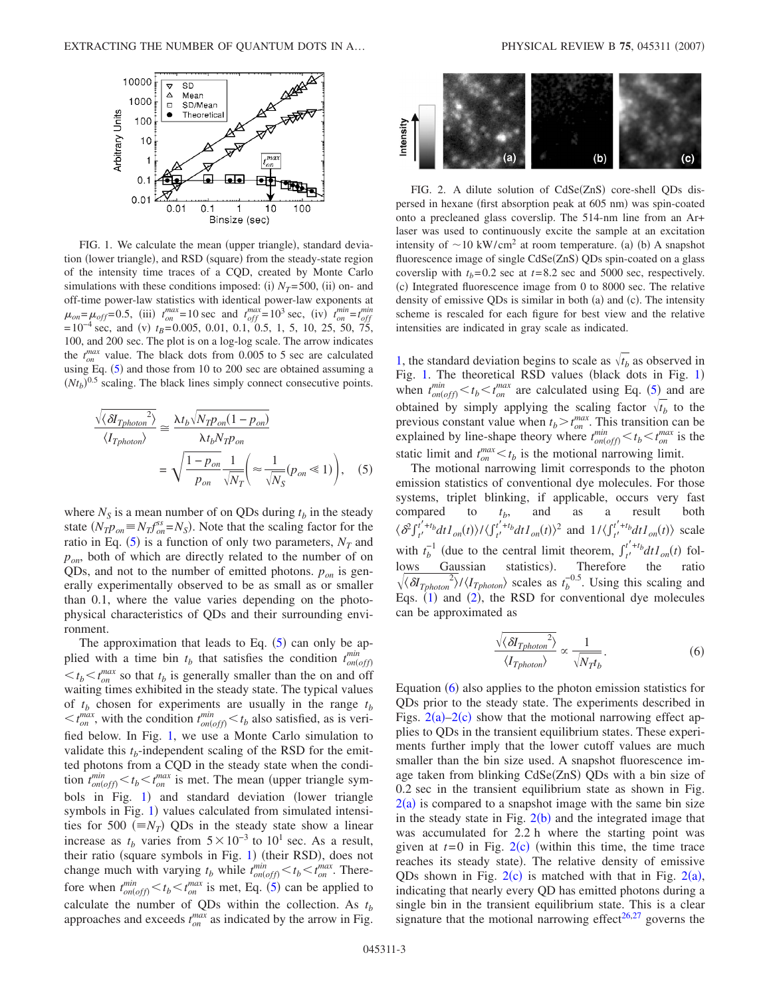<span id="page-2-1"></span>

FIG. 1. We calculate the mean (upper triangle), standard deviation (lower triangle), and RSD (square) from the steady-state region of the intensity time traces of a CQD, created by Monte Carlo simulations with these conditions imposed: (i)  $N_T$ =500, (ii) on- and off-time power-law statistics with identical power-law exponents at  $\mu_{on} = \mu_{off} = 0.5$ , (iii)  $t_{on}^{max} = 10$  sec and  $t_{off}^{max} = 10^3$  sec, (iv)  $t_{on}^{min} = t_{off}^{min}$  $= 10^{-4}$  sec, and (v)  $t_B = 0.005$ , 0.01, 0.1, 0.5, 1, 5, 10, 25, 50, 75, 100, and 200 sec. The plot is on a log-log scale. The arrow indicates the  $t_{on}^{max}$  value. The black dots from 0.005 to 5 sec are calculated using Eq.  $(5)$  $(5)$  $(5)$  and those from 10 to 200 sec are obtained assuming a  $(Nt_b)^{0.5}$  scaling. The black lines simply connect consecutive points.

<span id="page-2-0"></span>
$$
\frac{\sqrt{\langle \delta I_{\text{Pphoton}}^2 \rangle}}{\langle I_{\text{Pphoton}} \rangle} \approx \frac{\lambda t_b \sqrt{N_T p_{on} (1 - p_{on})}}{\lambda t_b N_T p_{on}}
$$
\n
$$
= \sqrt{\frac{1 - p_{on}}{p_{on}} \frac{1}{\sqrt{N_T}} \left( \approx \frac{1}{\sqrt{N_S}} (p_{on} \ll 1) \right)}, \quad (5)
$$

where  $N<sub>S</sub>$  is a mean number of on QDs during  $t<sub>b</sub>$  in the steady state  $(N_T p_{on} = N_T f_{on}^{ss} = N_S)$ . Note that the scaling factor for the ratio in Eq.  $(5)$  $(5)$  $(5)$  is a function of only two parameters,  $N_T$  and  $p_{on}$ , both of which are directly related to the number of on QDs, and not to the number of emitted photons.  $p_{on}$  is generally experimentally observed to be as small as or smaller than 0.1, where the value varies depending on the photophysical characteristics of QDs and their surrounding environment.

The approximation that leads to Eq.  $(5)$  $(5)$  $(5)$  can only be applied with a time bin  $t_b$  that satisfies the condition  $t_{on(off)}^{min}$  $\lt t_b \lt t_{on}^{max}$  so that  $t_b$  is generally smaller than the on and off waiting times exhibited in the steady state. The typical values of  $t_b$  chosen for experiments are usually in the range  $t_b$  $\lt t_{on}^{max}$ , with the condition  $t_{on(off)}^{min} \lt t_b$  also satisfied, as is verified below. In Fig. [1,](#page-2-1) we use a Monte Carlo simulation to validate this  $t_b$ -independent scaling of the RSD for the emitted photons from a CQD in the steady state when the condition  $t_{on(off)}^{min} < t_b < t_{on}^{max}$  is met. The mean (upper triangle sym-bols in Fig. [1](#page-2-1)) and standard deviation (lower triangle symbols in Fig. [1](#page-2-1)) values calculated from simulated intensities for 500  $(= N_T)$  QDs in the steady state show a linear increase as  $t_b$  varies from  $5 \times 10^{-3}$  to  $10^1$  sec. As a result, their ratio (square symbols in Fig. [1](#page-2-1)) (their RSD), does not change much with varying  $t_b$  while  $t_{on (off)}^{min} < t_b < t_{on}^{max}$ . Therefore when  $t_{on(off)}^{min} < t_b < t_{on}^{max}$  is met, Eq. ([5](#page-2-0)) can be applied to calculate the number of QDs within the collection. As  $t_b$ approaches and exceeds  $t_{on}^{max}$  as indicated by the arrow in Fig.

<span id="page-2-3"></span>

FIG. 2. A dilute solution of CdSe(ZnS) core-shell QDs dispersed in hexane (first absorption peak at 605 nm) was spin-coated onto a precleaned glass coverslip. The 514-nm line from an Ar+ laser was used to continuously excite the sample at an excitation intensity of  $\sim$ 10 kW/cm<sup>2</sup> at room temperature. (a) (b) A snapshot fluorescence image of single CdSe(ZnS) QDs spin-coated on a glass coverslip with  $t_b$ = 0.2 sec at  $t$ = 8.2 sec and 5000 sec, respectively. (c) Integrated fluorescence image from 0 to 8000 sec. The relative density of emissive QDs is similar in both (a) and (c). The intensity scheme is rescaled for each figure for best view and the relative intensities are indicated in gray scale as indicated.

[1,](#page-2-1) the standard deviation begins to scale as  $\sqrt{t_h}$  as observed in Fig. [1.](#page-2-1) The theoretical RSD values (black dots in Fig. [1](#page-2-1)) when  $t_{on(off)}^{min} < t_b < t_{on}^{max}$  are calculated using Eq. ([5](#page-2-0)) and are obtained by simply applying the scaling factor  $\sqrt{t_b}$  to the previous constant value when  $t_b > t_{on}^{max}$ . This transition can be explained by line-shape theory where  $t_{on(off)}^{min} < t_b < t_{on}^{max}$  is the static limit and  $t_{on}^{max} < t_b$  is the motional narrowing limit.

The motional narrowing limit corresponds to the photon emission statistics of conventional dye molecules. For those systems, triplet blinking, if applicable, occurs very fast compared to  $t_b$ , and as a result both  $\langle \mathcal{S}^{\int_{t'}^{t'+t_b} dt} I_{on}(t) \rangle / \langle \int_{t'}^{t'+t_b} dt I_{on}(t) \rangle^2$  and  $1 / \langle \int_{t'}^{t'+t_b} dt I_{on}(t) \rangle$  scale with  $t_b^{-1}$  (due to the central limit theorem,  $\int_{t'}^{t'+t_b} dt I_{on}(t)$  follows Gaussian statistics). Therefore the ratio  $\sqrt{\langle \delta T_{\text{photon}} \rangle}/\langle I_{\text{photon}} \rangle$  scales as  $t_b^{-0.5}$ . Using this scaling and Eqs.  $(1)$  $(1)$  $(1)$  and  $(2)$  $(2)$  $(2)$ , the RSD for conventional dye molecules can be approximated as

$$
\frac{\sqrt{\langle \delta I_{\text{Tphoton}} \rangle}^2}{\langle I_{\text{Tphoton}} \rangle} \propto \frac{1}{\sqrt{N_T t_b}}.
$$
\n(6)

<span id="page-2-2"></span>Equation  $(6)$  $(6)$  $(6)$  also applies to the photon emission statistics for QDs prior to the steady state. The experiments described in Figs.  $2(a)-2(c)$  $2(a)-2(c)$  show that the motional narrowing effect applies to QDs in the transient equilibrium states. These experiments further imply that the lower cutoff values are much smaller than the bin size used. A snapshot fluorescence image taken from blinking CdSe(ZnS) QDs with a bin size of 0.2 sec in the transient equilibrium state as shown in Fig.  $2(a)$  $2(a)$  is compared to a snapshot image with the same bin size in the steady state in Fig.  $2(b)$  $2(b)$  and the integrated image that was accumulated for 2.2 h where the starting point was given at  $t=0$  in Fig.  $2(c)$  $2(c)$  (within this time, the time trace reaches its steady state). The relative density of emissive QDs shown in Fig.  $2(c)$  $2(c)$  is matched with that in Fig.  $2(a)$ , indicating that nearly every QD has emitted photons during a single bin in the transient equilibrium state. This is a clear signature that the motional narrowing effect<sup>26,[27](#page-5-4)</sup> governs the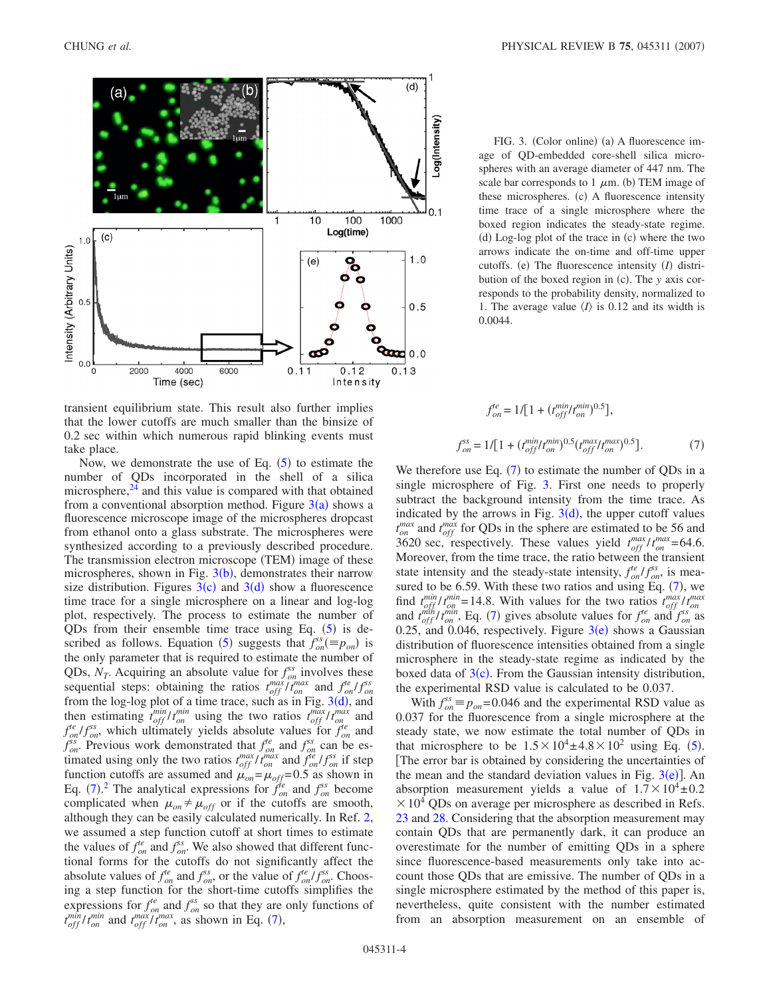<span id="page-3-0"></span>

transient equilibrium state. This result also further implies that the lower cutoffs are much smaller than the binsize of 0.2 sec within which numerous rapid blinking events must take place.

Now, we demonstrate the use of Eq.  $(5)$  $(5)$  $(5)$  to estimate the number of QDs incorporated in the shell of a silica microsphere, $24$  and this value is compared with that obtained from a conventional absorption method. Figure  $3(a)$  $3(a)$  shows a fluorescence microscope image of the microspheres dropcast from ethanol onto a glass substrate. The microspheres were synthesized according to a previously described procedure. The transmission electron microscope (TEM) image of these microspheres, shown in Fig.  $3(b)$  $3(b)$ , demonstrates their narrow size distribution. Figures  $3(c)$  $3(c)$  and  $3(d)$  show a fluorescence time trace for a single microsphere on a linear and log-log plot, respectively. The process to estimate the number of QDs from their ensemble time trace using Eq.  $(5)$  $(5)$  $(5)$  is de-scribed as follows. Equation ([5](#page-2-0)) suggests that  $f_{on}^{ss} (\equiv p_{on})$  is the only parameter that is required to estimate the number of QDs,  $N_T$ . Acquiring an absolute value for  $f_{on}^{ss}$  involves these sequential steps: obtaining the ratios  $t_{off}^{max}/t_{on}^{max}$  and  $f_{on}^{te}/f_{on}^{ss}$ from the log-log plot of a time trace, such as in Fig.  $3(d)$  $3(d)$ , and then estimating  $t_{off}^{min}/t_{on}^{min}$  using the two ratios  $t_{off}^{max}/t_{on}^{max}$  and  $f_{on}^{te}/f_{on}^{ss}$ , which ultimately yields absolute values for  $f_{on}^{te}$  and  $f_{on}^{ss}$ . Previous work demonstrated that  $f_{on}^{te}$  and  $f_{on}^{ss}$  can be estimated using only the two ratios  $t_{off}^{max}/t_{on}^{max}$  and  $f_{on}^{te}/f_{on}^{ss}$  if step function cutoffs are assumed and  $\mu_{on} = \mu_{off} = 0.5$  as shown in Eq. ([7](#page-3-1)).<sup>[2](#page-4-1)</sup> The analytical expressions for  $f_{on}^{te}$  and  $f_{on}^{ss}$  become complicated when  $\mu_{on} \neq \mu_{off}$  or if the cutoffs are smooth, although they can be easily calculated numerically. In Ref. [2,](#page-4-1) we assumed a step function cutoff at short times to estimate the values of  $f_{on}^{te}$  and  $f_{on}^{ss}$ . We also showed that different functional forms for the cutoffs do not significantly affect the absolute values of  $f_{on}^{te}$  and  $f_{on}^{ss}$ , or the value of  $f_{on}^{te}/f_{on}^{ss}$ . Choosing a step function for the short-time cutoffs simplifies the expressions for  $f_{on}^{te}$  and  $f_{on}^{ss}$  so that they are only functions of  $t_{off}^{min}/t_{on}^{min}$  and  $t_{off}^{max}/t_{on}^{max}$ , as shown in Eq. ([7](#page-3-1)),

FIG. 3. (Color online) (a) A fluorescence image of QD-embedded core-shell silica microspheres with an average diameter of 447 nm. The scale bar corresponds to  $1 \mu m$ . (b) TEM image of these microspheres. (c) A fluorescence intensity time trace of a single microsphere where the boxed region indicates the steady-state regime. (d) Log-log plot of the trace in (c) where the two arrows indicate the on-time and off-time upper cutoffs. (e) The fluorescence intensity (I) distribution of the boxed region in (c). The *y* axis corresponds to the probability density, normalized to 1. The average value  $\langle I \rangle$  is 0.12 and its width is 0.0044.

$$
f_{on}^{te} = 1/[1 + (t_{off}^{min} t_{on}^{min})^{0.5}],
$$
  

$$
f_{on}^{ss} = 1/[1 + (t_{off}^{min} t_{on}^{min})^{0.5} (t_{off}^{max} t_{on}^{max})^{0.5}].
$$
 (7)

<span id="page-3-1"></span>We therefore use Eq.  $(7)$  $(7)$  $(7)$  to estimate the number of QDs in a single microsphere of Fig. [3.](#page-3-0) First one needs to properly subtract the background intensity from the time trace. As indicated by the arrows in Fig.  $3(d)$  $3(d)$ , the upper cutoff values  $t_{on}^{max}$  and  $t_{off}^{max}$  for QDs in the sphere are estimated to be 56 and 3620 sec, respectively. These values yield  $t_{off}^{max}/t_{on}^{max}$  = 64.6. Moreover, from the time trace, the ratio between the transient state intensity and the steady-state intensity,  $f_{on}^{te}/f_{on}^{ss}$ , is measured to be 6.59. With these two ratios and using Eq.  $(7)$  $(7)$  $(7)$ , we find  $t_{off}^{min}/t_{on}^{min} = 14.8$ . With values for the two ratios  $t_{off}^{max}/t_{on}^{max}$ and  $t_{off}^{min}/t_{on}^{min}$ , Eq. ([7](#page-3-1)) gives absolute values for  $f_{on}^{te}$  and  $f_{on}^{ss}$  as 0.25, and 0.046, respectively. Figure  $3(e)$  $3(e)$  shows a Gaussian distribution of fluorescence intensities obtained from a single microsphere in the steady-state regime as indicated by the boxed data of  $3(c)$  $3(c)$ . From the Gaussian intensity distribution, the experimental RSD value is calculated to be 0.037.

With  $f_{on}^{ss} \equiv p_{on} = 0.046$  and the experimental RSD value as 0.037 for the fluorescence from a single microsphere at the steady state, we now estimate the total number of QDs in that microsphere to be  $1.5 \times 10^4 \pm 4.8 \times 10^2$  $1.5 \times 10^4 \pm 4.8 \times 10^2$  $1.5 \times 10^4 \pm 4.8 \times 10^2$  using Eq. (5). The error bar is obtained by considering the uncertainties of the mean and the standard deviation values in Fig.  $3(e)$  $3(e)$ ]. An absorption measurement yields a value of  $1.7 \times 10^4 \pm 0.2$  $\times$  10<sup>4</sup> QDs on average per microsphere as described in Refs. [23](#page-5-0) and [28.](#page-5-5) Considering that the absorption measurement may contain QDs that are permanently dark, it can produce an overestimate for the number of emitting QDs in a sphere since fluorescence-based measurements only take into account those QDs that are emissive. The number of QDs in a single microsphere estimated by the method of this paper is, nevertheless, quite consistent with the number estimated from an absorption measurement on an ensemble of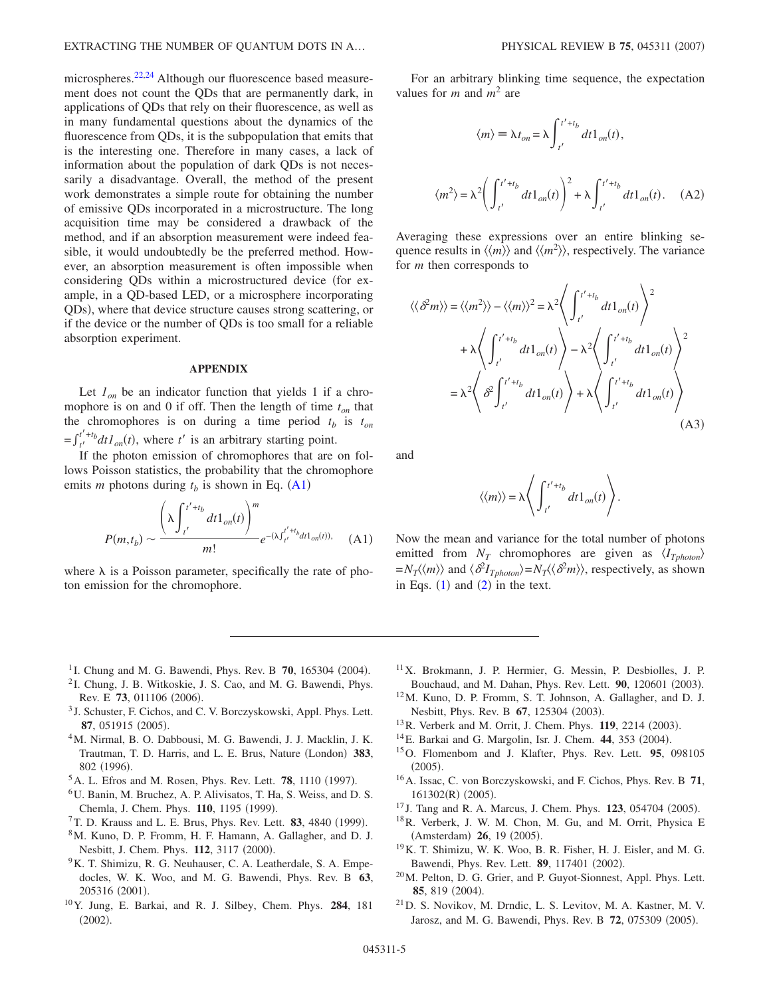microspheres.<sup>22[,24](#page-5-1)</sup> Although our fluorescence based measurement does not count the QDs that are permanently dark, in applications of QDs that rely on their fluorescence, as well as in many fundamental questions about the dynamics of the fluorescence from QDs, it is the subpopulation that emits that is the interesting one. Therefore in many cases, a lack of information about the population of dark QDs is not necessarily a disadvantage. Overall, the method of the present work demonstrates a simple route for obtaining the number of emissive QDs incorporated in a microstructure. The long acquisition time may be considered a drawback of the method, and if an absorption measurement were indeed feasible, it would undoubtedly be the preferred method. However, an absorption measurement is often impossible when considering QDs within a microstructured device for example, in a QD-based LED, or a microsphere incorporating QDs), where that device structure causes strong scattering, or if the device or the number of QDs is too small for a reliable absorption experiment.

## **APPENDIX**

Let  $I_{on}$  be an indicator function that yields 1 if a chromophore is on and 0 if off. Then the length of time  $t_{on}$  that the chromophores is on during a time period  $t_b$  is  $t_{on}$  $f_t^{t'+t} dt l_{on}(t)$ , where  $t'$  is an arbitrary starting point.

<span id="page-4-10"></span>If the photon emission of chromophores that are on follows Poisson statistics, the probability that the chromophore emits *m* photons during  $t_b$  is shown in Eq. ([A1](#page-4-10))

$$
P(m,t_b) \sim \frac{\left(\lambda \int_{t'}^{t'+t_b} dt 1_{on}(t)\right)^m}{m!} e^{-(\lambda \int_{t'}^{t'+t_b} dt 1_{on}(t)),}
$$
 (A1)

where  $\lambda$  is a Poisson parameter, specifically the rate of photon emission for the chromophore.

For an arbitrary blinking time sequence, the expectation values for *m* and *m*<sup>2</sup> are

$$
\langle m \rangle = \lambda t_{on} = \lambda \int_{t'}^{t' + t_b} dt 1_{on}(t),
$$

$$
\langle m^2 \rangle = \lambda^2 \left( \int_{t'}^{t' + t_b} dt 1_{on}(t) \right)^2 + \lambda \int_{t'}^{t' + t_b} dt 1_{on}(t). \quad (A2)
$$

Averaging these expressions over an entire blinking sequence results in  $\langle\langle m \rangle\rangle$  and  $\langle\langle m^2 \rangle\rangle$ , respectively. The variance for *m* then corresponds to

$$
\langle \langle \delta^2 m \rangle \rangle = \langle \langle m^2 \rangle \rangle - \langle \langle m \rangle \rangle^2 = \lambda^2 \Bigg\langle \int_{t'}^{t' + t_b} dt \, 1_{on}(t) \Bigg\rangle^2
$$
  
+  $\lambda \Bigg\langle \int_{t'}^{t' + t_b} dt \, 1_{on}(t) \Bigg\rangle - \lambda^2 \Bigg\langle \int_{t'}^{t' + t_b} dt \, 1_{on}(t) \Bigg\rangle^2$   
=  $\lambda^2 \Bigg\langle \delta^2 \int_{t'}^{t' + t_b} dt \, 1_{on}(t) \Bigg\rangle + \lambda \Bigg\langle \int_{t'}^{t' + t_b} dt \, 1_{on}(t) \Bigg\rangle$  (A3)

and

$$
\langle\langle m \rangle\rangle = \lambda \left\langle \int_{t'}^{t'+t_b} dt \mathbb{1}_{on}(t) \right\rangle.
$$

Now the mean and variance for the total number of photons emitted from  $N_T$  chromophores are given as  $\langle I_{Tphoton} \rangle$  $=N_T \langle \langle m \rangle \rangle$  and  $\langle \delta^2 I_{Tphoton} \rangle = N_T \langle \langle \delta^2 m \rangle \rangle$ , respectively, as shown in Eqs.  $(1)$  $(1)$  $(1)$  and  $(2)$  $(2)$  $(2)$  in the text.

- <span id="page-4-0"></span><sup>1</sup> I. Chung and M. G. Bawendi, Phys. Rev. B 70, 165304 (2004).
- <span id="page-4-1"></span><sup>2</sup> I. Chung, J. B. Witkoskie, J. S. Cao, and M. G. Bawendi, Phys. Rev. E 73, 011106 (2006).
- <span id="page-4-2"></span><sup>3</sup> J. Schuster, F. Cichos, and C. V. Borczyskowski, Appl. Phys. Lett. 87, 051915 (2005).
- <span id="page-4-3"></span>4M. Nirmal, B. O. Dabbousi, M. G. Bawendi, J. J. Macklin, J. K. Trautman, T. D. Harris, and L. E. Brus, Nature (London) 383, 802 (1996).
- <sup>5</sup> A. L. Efros and M. Rosen, Phys. Rev. Lett. **78**, 1110 (1997).
- 6U. Banin, M. Bruchez, A. P. Alivisatos, T. Ha, S. Weiss, and D. S. Chemla, J. Chem. Phys. **110**, 1195 (1999).
- <span id="page-4-5"></span><sup>7</sup> T. D. Krauss and L. E. Brus, Phys. Rev. Lett. **83**, 4840 (1999).
- 8M. Kuno, D. P. Fromm, H. F. Hamann, A. Gallagher, and D. J. Nesbitt, J. Chem. Phys. 112, 3117 (2000).
- <span id="page-4-6"></span><sup>9</sup>K. T. Shimizu, R. G. Neuhauser, C. A. Leatherdale, S. A. Empedocles, W. K. Woo, and M. G. Bawendi, Phys. Rev. B **63**, 205316 (2001).
- 10Y. Jung, E. Barkai, and R. J. Silbey, Chem. Phys. **284**, 181  $(2002).$
- <span id="page-4-9"></span>11X. Brokmann, J. P. Hermier, G. Messin, P. Desbiolles, J. P. Bouchaud, and M. Dahan, Phys. Rev. Lett. 90, 120601 (2003).
- 12M. Kuno, D. P. Fromm, S. T. Johnson, A. Gallagher, and D. J. Nesbitt, Phys. Rev. B 67, 125304 (2003).
- <sup>13</sup> R. Verberk and M. Orrit, J. Chem. Phys. **119**, 2214 (2003).
- <sup>14</sup> E. Barkai and G. Margolin, Isr. J. Chem. **44**, 353 (2004).
- 15O. Flomenbom and J. Klafter, Phys. Rev. Lett. **95**, 098105  $(2005).$
- 16A. Issac, C. von Borczyskowski, and F. Cichos, Phys. Rev. B **71**, 161302(R) (2005).
- <sup>17</sup> J. Tang and R. A. Marcus, J. Chem. Phys. **123**, 054704 (2005).
- <span id="page-4-4"></span>18R. Verberk, J. W. M. Chon, M. Gu, and M. Orrit, Physica E (Amsterdam) 26, 19 (2005).
- 19K. T. Shimizu, W. K. Woo, B. R. Fisher, H. J. Eisler, and M. G. Bawendi, Phys. Rev. Lett. **89**, 117401 (2002).
- <span id="page-4-8"></span>20M. Pelton, D. G. Grier, and P. Guyot-Sionnest, Appl. Phys. Lett. 85, 819 (2004).
- <span id="page-4-7"></span>21D. S. Novikov, M. Drndic, L. S. Levitov, M. A. Kastner, M. V. Jarosz, and M. G. Bawendi, Phys. Rev. B 72, 075309 (2005).